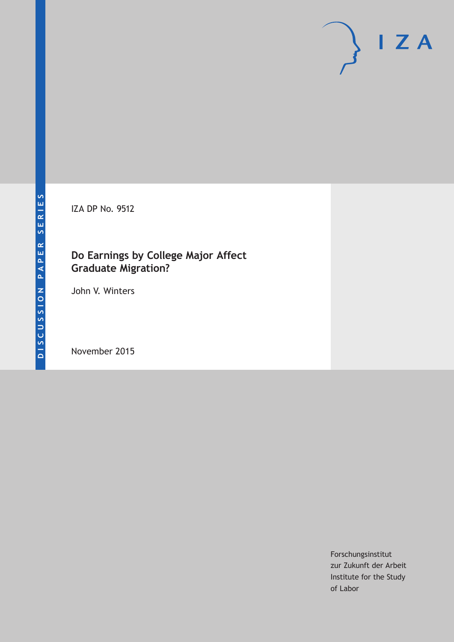IZA DP No. 9512

# **Do Earnings by College Major Affect Graduate Migration?**

John V. Winters

November 2015

Forschungsinstitut zur Zukunft der Arbeit Institute for the Study of Labor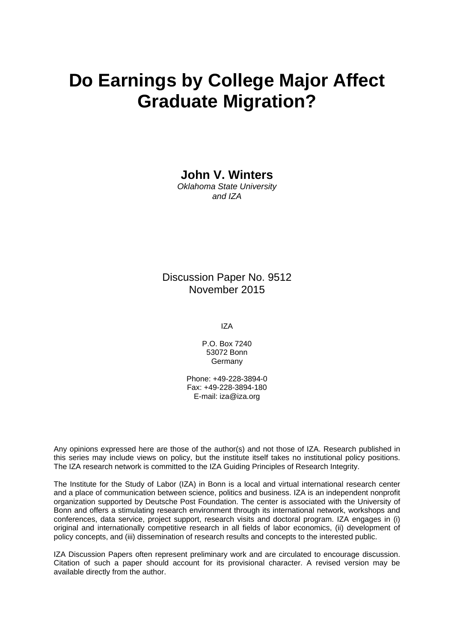# **Do Earnings by College Major Affect Graduate Migration?**

**John V. Winters** 

*Oklahoma State University and IZA* 

Discussion Paper No. 9512 November 2015

IZA

P.O. Box 7240 53072 Bonn Germany

Phone: +49-228-3894-0 Fax: +49-228-3894-180 E-mail: iza@iza.org

Any opinions expressed here are those of the author(s) and not those of IZA. Research published in this series may include views on policy, but the institute itself takes no institutional policy positions. The IZA research network is committed to the IZA Guiding Principles of Research Integrity.

The Institute for the Study of Labor (IZA) in Bonn is a local and virtual international research center and a place of communication between science, politics and business. IZA is an independent nonprofit organization supported by Deutsche Post Foundation. The center is associated with the University of Bonn and offers a stimulating research environment through its international network, workshops and conferences, data service, project support, research visits and doctoral program. IZA engages in (i) original and internationally competitive research in all fields of labor economics, (ii) development of policy concepts, and (iii) dissemination of research results and concepts to the interested public.

IZA Discussion Papers often represent preliminary work and are circulated to encourage discussion. Citation of such a paper should account for its provisional character. A revised version may be available directly from the author.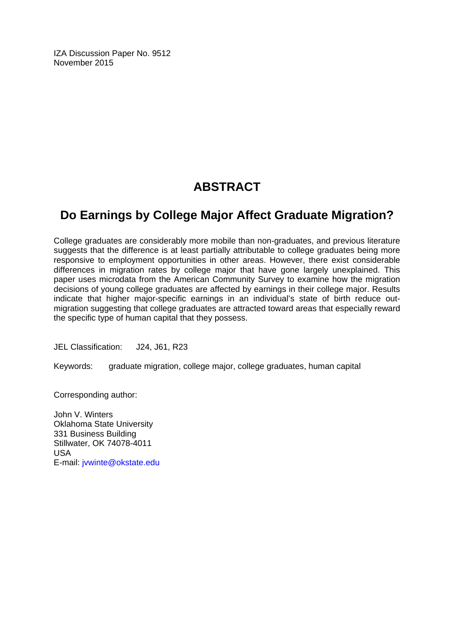IZA Discussion Paper No. 9512 November 2015

# **ABSTRACT**

# **Do Earnings by College Major Affect Graduate Migration?**

College graduates are considerably more mobile than non-graduates, and previous literature suggests that the difference is at least partially attributable to college graduates being more responsive to employment opportunities in other areas. However, there exist considerable differences in migration rates by college major that have gone largely unexplained. This paper uses microdata from the American Community Survey to examine how the migration decisions of young college graduates are affected by earnings in their college major. Results indicate that higher major-specific earnings in an individual's state of birth reduce outmigration suggesting that college graduates are attracted toward areas that especially reward the specific type of human capital that they possess.

JEL Classification: J24, J61, R23

Keywords: graduate migration, college major, college graduates, human capital

Corresponding author:

John V. Winters Oklahoma State University 331 Business Building Stillwater, OK 74078-4011 USA E-mail: jvwinte@okstate.edu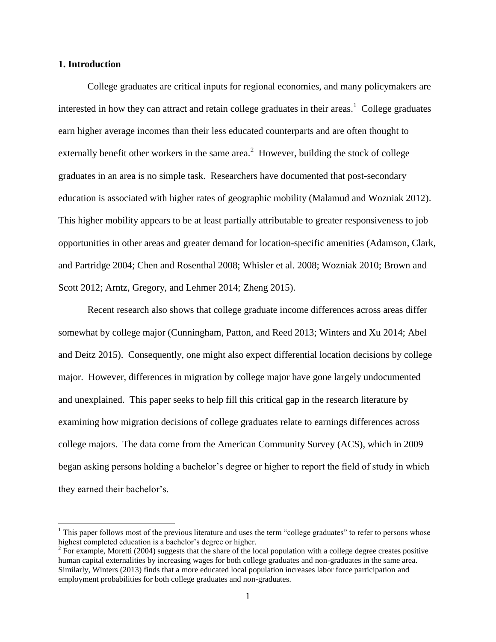### **1. Introduction**

 $\overline{a}$ 

College graduates are critical inputs for regional economies, and many policymakers are interested in how they can attract and retain college graduates in their areas.<sup>1</sup> College graduates earn higher average incomes than their less educated counterparts and are often thought to externally benefit other workers in the same area.<sup>2</sup> However, building the stock of college graduates in an area is no simple task. Researchers have documented that post-secondary education is associated with higher rates of geographic mobility (Malamud and Wozniak 2012). This higher mobility appears to be at least partially attributable to greater responsiveness to job opportunities in other areas and greater demand for location-specific amenities (Adamson, Clark, and Partridge 2004; Chen and Rosenthal 2008; Whisler et al. 2008; Wozniak 2010; Brown and Scott 2012; Arntz, Gregory, and Lehmer 2014; Zheng 2015).

Recent research also shows that college graduate income differences across areas differ somewhat by college major (Cunningham, Patton, and Reed 2013; Winters and Xu 2014; Abel and Deitz 2015). Consequently, one might also expect differential location decisions by college major. However, differences in migration by college major have gone largely undocumented and unexplained. This paper seeks to help fill this critical gap in the research literature by examining how migration decisions of college graduates relate to earnings differences across college majors. The data come from the American Community Survey (ACS), which in 2009 began asking persons holding a bachelor's degree or higher to report the field of study in which they earned their bachelor's.

 $<sup>1</sup>$  This paper follows most of the previous literature and uses the term "college graduates" to refer to persons whose</sup> highest completed education is a bachelor's degree or higher.

 $2 \text{ For example, Moretti (2004) suggests that the share of the local population with a college degree creates positive.}$ human capital externalities by increasing wages for both college graduates and non-graduates in the same area. Similarly, Winters (2013) finds that a more educated local population increases labor force participation and employment probabilities for both college graduates and non-graduates.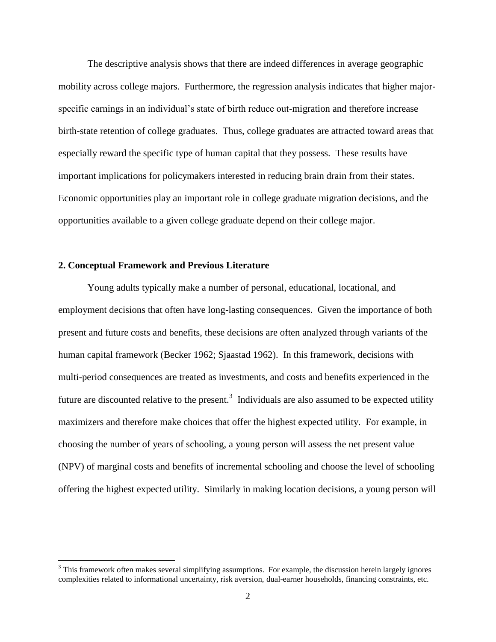The descriptive analysis shows that there are indeed differences in average geographic mobility across college majors. Furthermore, the regression analysis indicates that higher majorspecific earnings in an individual's state of birth reduce out-migration and therefore increase birth-state retention of college graduates. Thus, college graduates are attracted toward areas that especially reward the specific type of human capital that they possess. These results have important implications for policymakers interested in reducing brain drain from their states. Economic opportunities play an important role in college graduate migration decisions, and the opportunities available to a given college graduate depend on their college major.

# **2. Conceptual Framework and Previous Literature**

 $\overline{a}$ 

Young adults typically make a number of personal, educational, locational, and employment decisions that often have long-lasting consequences. Given the importance of both present and future costs and benefits, these decisions are often analyzed through variants of the human capital framework (Becker 1962; Sjaastad 1962). In this framework, decisions with multi-period consequences are treated as investments, and costs and benefits experienced in the future are discounted relative to the present.<sup>3</sup> Individuals are also assumed to be expected utility maximizers and therefore make choices that offer the highest expected utility. For example, in choosing the number of years of schooling, a young person will assess the net present value (NPV) of marginal costs and benefits of incremental schooling and choose the level of schooling offering the highest expected utility. Similarly in making location decisions, a young person will

 $3$  This framework often makes several simplifying assumptions. For example, the discussion herein largely ignores complexities related to informational uncertainty, risk aversion, dual-earner households, financing constraints, etc.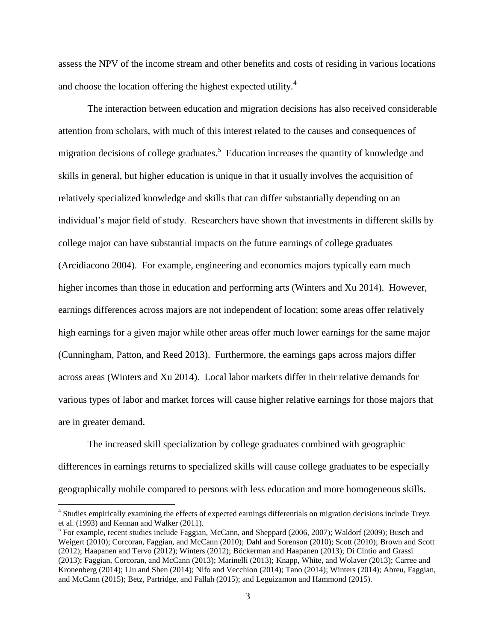assess the NPV of the income stream and other benefits and costs of residing in various locations and choose the location offering the highest expected utility.<sup>4</sup>

The interaction between education and migration decisions has also received considerable attention from scholars, with much of this interest related to the causes and consequences of migration decisions of college graduates.<sup>5</sup> Education increases the quantity of knowledge and skills in general, but higher education is unique in that it usually involves the acquisition of relatively specialized knowledge and skills that can differ substantially depending on an individual's major field of study. Researchers have shown that investments in different skills by college major can have substantial impacts on the future earnings of college graduates (Arcidiacono 2004). For example, engineering and economics majors typically earn much higher incomes than those in education and performing arts (Winters and Xu 2014). However, earnings differences across majors are not independent of location; some areas offer relatively high earnings for a given major while other areas offer much lower earnings for the same major (Cunningham, Patton, and Reed 2013). Furthermore, the earnings gaps across majors differ across areas (Winters and Xu 2014). Local labor markets differ in their relative demands for various types of labor and market forces will cause higher relative earnings for those majors that are in greater demand.

The increased skill specialization by college graduates combined with geographic differences in earnings returns to specialized skills will cause college graduates to be especially geographically mobile compared to persons with less education and more homogeneous skills.

<sup>&</sup>lt;sup>4</sup> Studies empirically examining the effects of expected earnings differentials on migration decisions include Treyz et al. (1993) and Kennan and Walker (2011).

<sup>&</sup>lt;sup>5</sup> For example, recent studies include Faggian, McCann, and Sheppard (2006, 2007); Waldorf (2009); Busch and Weigert (2010); Corcoran, Faggian, and McCann (2010); Dahl and Sorenson (2010); Scott (2010); Brown and Scott (2012); Haapanen and Tervo (2012); Winters (2012); Böckerman and Haapanen (2013); Di Cintio and Grassi (2013); Faggian, Corcoran, and McCann (2013); Marinelli (2013); Knapp, White, and Wolaver (2013); Carree and Kronenberg (2014); Liu and Shen (2014); Nifo and Vecchion (2014); Tano (2014); Winters (2014); Abreu, Faggian, and McCann (2015); Betz, Partridge, and Fallah (2015); and Leguizamon and Hammond (2015).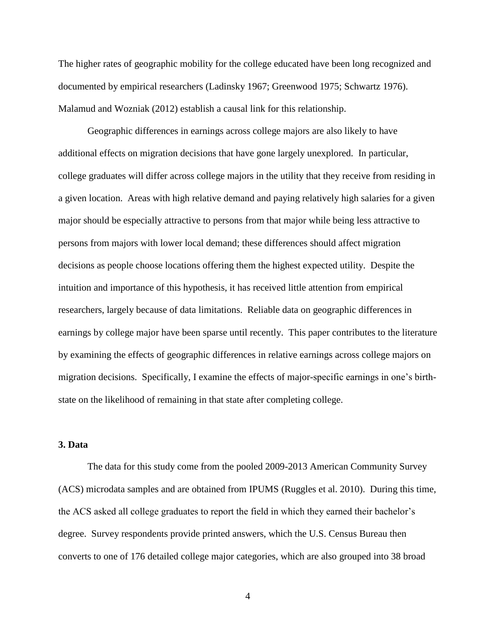The higher rates of geographic mobility for the college educated have been long recognized and documented by empirical researchers (Ladinsky 1967; Greenwood 1975; Schwartz 1976). Malamud and Wozniak (2012) establish a causal link for this relationship.

Geographic differences in earnings across college majors are also likely to have additional effects on migration decisions that have gone largely unexplored. In particular, college graduates will differ across college majors in the utility that they receive from residing in a given location. Areas with high relative demand and paying relatively high salaries for a given major should be especially attractive to persons from that major while being less attractive to persons from majors with lower local demand; these differences should affect migration decisions as people choose locations offering them the highest expected utility. Despite the intuition and importance of this hypothesis, it has received little attention from empirical researchers, largely because of data limitations. Reliable data on geographic differences in earnings by college major have been sparse until recently. This paper contributes to the literature by examining the effects of geographic differences in relative earnings across college majors on migration decisions. Specifically, I examine the effects of major-specific earnings in one's birthstate on the likelihood of remaining in that state after completing college.

# **3. Data**

The data for this study come from the pooled 2009-2013 American Community Survey (ACS) microdata samples and are obtained from IPUMS (Ruggles et al. 2010). During this time, the ACS asked all college graduates to report the field in which they earned their bachelor's degree. Survey respondents provide printed answers, which the U.S. Census Bureau then converts to one of 176 detailed college major categories, which are also grouped into 38 broad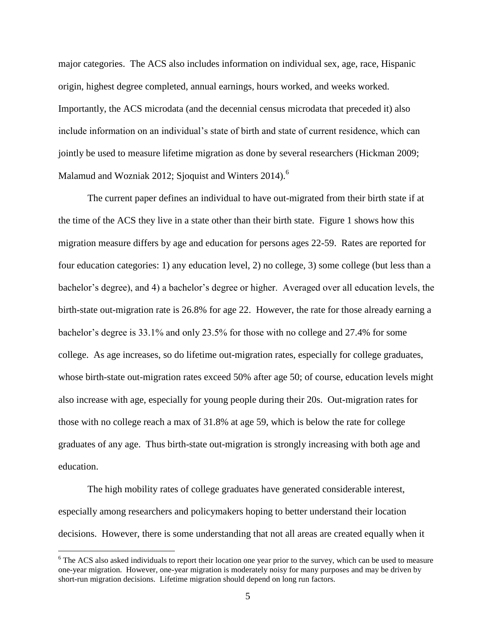major categories. The ACS also includes information on individual sex, age, race, Hispanic origin, highest degree completed, annual earnings, hours worked, and weeks worked. Importantly, the ACS microdata (and the decennial census microdata that preceded it) also include information on an individual's state of birth and state of current residence, which can jointly be used to measure lifetime migration as done by several researchers (Hickman 2009; Malamud and Wozniak 2012; Sioquist and Winters  $2014$ <sup>6</sup>.

The current paper defines an individual to have out-migrated from their birth state if at the time of the ACS they live in a state other than their birth state. Figure 1 shows how this migration measure differs by age and education for persons ages 22-59. Rates are reported for four education categories: 1) any education level, 2) no college, 3) some college (but less than a bachelor's degree), and 4) a bachelor's degree or higher. Averaged over all education levels, the birth-state out-migration rate is 26.8% for age 22. However, the rate for those already earning a bachelor's degree is 33.1% and only 23.5% for those with no college and 27.4% for some college. As age increases, so do lifetime out-migration rates, especially for college graduates, whose birth-state out-migration rates exceed 50% after age 50; of course, education levels might also increase with age, especially for young people during their 20s. Out-migration rates for those with no college reach a max of 31.8% at age 59, which is below the rate for college graduates of any age. Thus birth-state out-migration is strongly increasing with both age and education.

The high mobility rates of college graduates have generated considerable interest, especially among researchers and policymakers hoping to better understand their location decisions. However, there is some understanding that not all areas are created equally when it

<sup>&</sup>lt;sup>6</sup> The ACS also asked individuals to report their location one year prior to the survey, which can be used to measure one-year migration. However, one-year migration is moderately noisy for many purposes and may be driven by short-run migration decisions. Lifetime migration should depend on long run factors.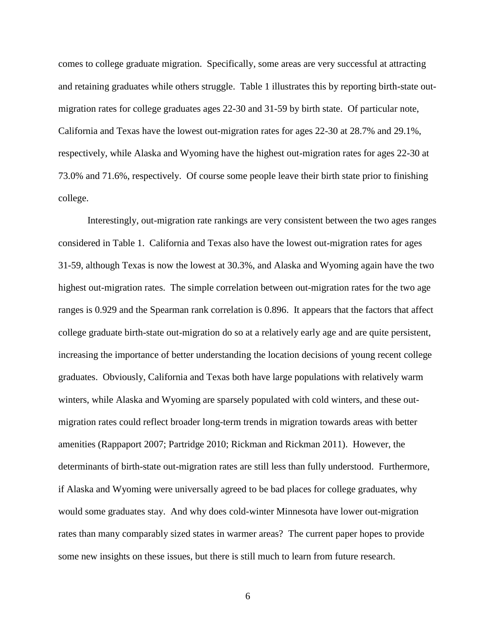comes to college graduate migration. Specifically, some areas are very successful at attracting and retaining graduates while others struggle. Table 1 illustrates this by reporting birth-state outmigration rates for college graduates ages 22-30 and 31-59 by birth state. Of particular note, California and Texas have the lowest out-migration rates for ages 22-30 at 28.7% and 29.1%, respectively, while Alaska and Wyoming have the highest out-migration rates for ages 22-30 at 73.0% and 71.6%, respectively. Of course some people leave their birth state prior to finishing college.

Interestingly, out-migration rate rankings are very consistent between the two ages ranges considered in Table 1. California and Texas also have the lowest out-migration rates for ages 31-59, although Texas is now the lowest at 30.3%, and Alaska and Wyoming again have the two highest out-migration rates. The simple correlation between out-migration rates for the two age ranges is 0.929 and the Spearman rank correlation is 0.896. It appears that the factors that affect college graduate birth-state out-migration do so at a relatively early age and are quite persistent, increasing the importance of better understanding the location decisions of young recent college graduates. Obviously, California and Texas both have large populations with relatively warm winters, while Alaska and Wyoming are sparsely populated with cold winters, and these outmigration rates could reflect broader long-term trends in migration towards areas with better amenities (Rappaport 2007; Partridge 2010; Rickman and Rickman 2011). However, the determinants of birth-state out-migration rates are still less than fully understood. Furthermore, if Alaska and Wyoming were universally agreed to be bad places for college graduates, why would some graduates stay. And why does cold-winter Minnesota have lower out-migration rates than many comparably sized states in warmer areas? The current paper hopes to provide some new insights on these issues, but there is still much to learn from future research.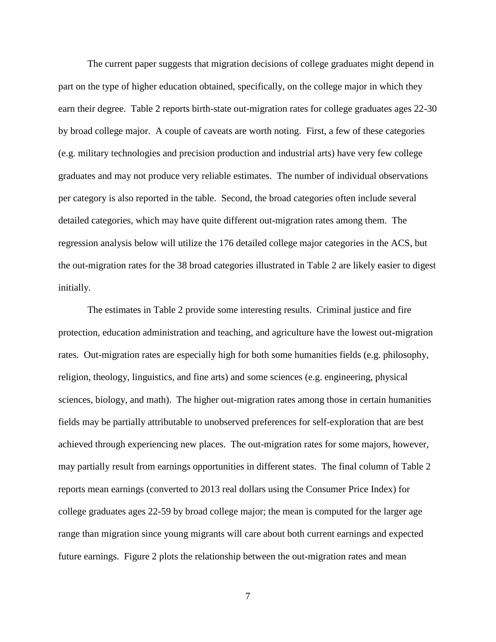The current paper suggests that migration decisions of college graduates might depend in part on the type of higher education obtained, specifically, on the college major in which they earn their degree. Table 2 reports birth-state out-migration rates for college graduates ages 22-30 by broad college major. A couple of caveats are worth noting. First, a few of these categories (e.g. military technologies and precision production and industrial arts) have very few college graduates and may not produce very reliable estimates. The number of individual observations per category is also reported in the table. Second, the broad categories often include several detailed categories, which may have quite different out-migration rates among them. The regression analysis below will utilize the 176 detailed college major categories in the ACS, but the out-migration rates for the 38 broad categories illustrated in Table 2 are likely easier to digest initially.

The estimates in Table 2 provide some interesting results. Criminal justice and fire protection, education administration and teaching, and agriculture have the lowest out-migration rates. Out-migration rates are especially high for both some humanities fields (e.g. philosophy, religion, theology, linguistics, and fine arts) and some sciences (e.g. engineering, physical sciences, biology, and math). The higher out-migration rates among those in certain humanities fields may be partially attributable to unobserved preferences for self-exploration that are best achieved through experiencing new places. The out-migration rates for some majors, however, may partially result from earnings opportunities in different states. The final column of Table 2 reports mean earnings (converted to 2013 real dollars using the Consumer Price Index) for college graduates ages 22-59 by broad college major; the mean is computed for the larger age range than migration since young migrants will care about both current earnings and expected future earnings. Figure 2 plots the relationship between the out-migration rates and mean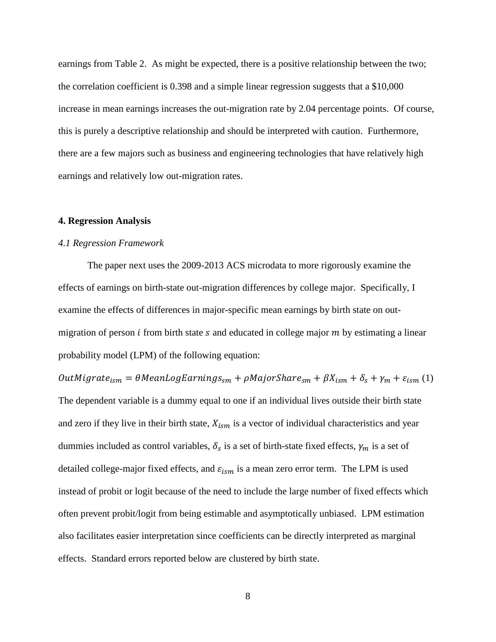earnings from Table 2. As might be expected, there is a positive relationship between the two; the correlation coefficient is 0.398 and a simple linear regression suggests that a \$10,000 increase in mean earnings increases the out-migration rate by 2.04 percentage points. Of course, this is purely a descriptive relationship and should be interpreted with caution. Furthermore, there are a few majors such as business and engineering technologies that have relatively high earnings and relatively low out-migration rates.

#### **4. Regression Analysis**

#### *4.1 Regression Framework*

The paper next uses the 2009-2013 ACS microdata to more rigorously examine the effects of earnings on birth-state out-migration differences by college major. Specifically, I examine the effects of differences in major-specific mean earnings by birth state on outmigration of person  $i$  from birth state  $s$  and educated in college major  $m$  by estimating a linear probability model (LPM) of the following equation:

 $OutMigrate_{ism} = \theta Mean LogEarnings_{sm} + \rho MajorShare_{sm} + \beta X_{ism} + \delta_s + \gamma_m + \varepsilon_{ism}$  (1)

The dependent variable is a dummy equal to one if an individual lives outside their birth state and zero if they live in their birth state,  $X_{ism}$  is a vector of individual characteristics and year dummies included as control variables,  $\delta_s$  is a set of birth-state fixed effects,  $\gamma_m$  is a set of detailed college-major fixed effects, and  $\varepsilon_{ism}$  is a mean zero error term. The LPM is used instead of probit or logit because of the need to include the large number of fixed effects which often prevent probit/logit from being estimable and asymptotically unbiased. LPM estimation also facilitates easier interpretation since coefficients can be directly interpreted as marginal effects. Standard errors reported below are clustered by birth state.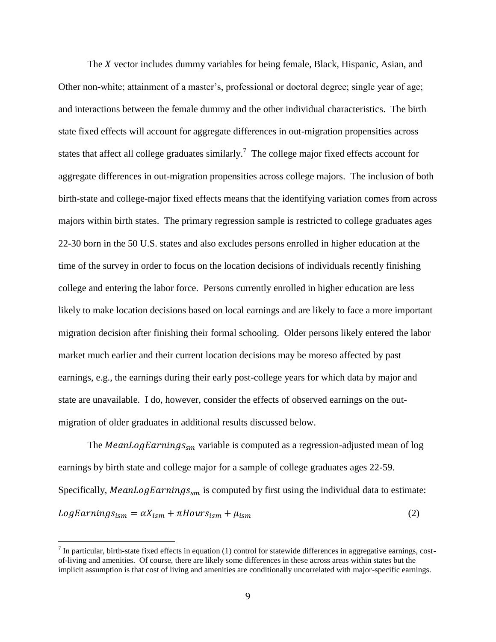The  $X$  vector includes dummy variables for being female, Black, Hispanic, Asian, and Other non-white; attainment of a master's, professional or doctoral degree; single year of age; and interactions between the female dummy and the other individual characteristics. The birth state fixed effects will account for aggregate differences in out-migration propensities across states that affect all college graduates similarly.<sup>7</sup> The college major fixed effects account for aggregate differences in out-migration propensities across college majors. The inclusion of both birth-state and college-major fixed effects means that the identifying variation comes from across majors within birth states. The primary regression sample is restricted to college graduates ages 22-30 born in the 50 U.S. states and also excludes persons enrolled in higher education at the time of the survey in order to focus on the location decisions of individuals recently finishing college and entering the labor force. Persons currently enrolled in higher education are less likely to make location decisions based on local earnings and are likely to face a more important migration decision after finishing their formal schooling. Older persons likely entered the labor market much earlier and their current location decisions may be moreso affected by past earnings, e.g., the earnings during their early post-college years for which data by major and state are unavailable. I do, however, consider the effects of observed earnings on the outmigration of older graduates in additional results discussed below.

The MeanLogEarnings<sub>sm</sub> variable is computed as a regression-adjusted mean of log earnings by birth state and college major for a sample of college graduates ages 22-59. Specifically, MeanLogEarnings<sub>sm</sub> is computed by first using the individual data to estimate:  $LogEarningS_{ism} = \alpha X_{ism} + \pi Hours_{ism} + \mu_{ism}$  (2)

 $^7$  In particular, birth-state fixed effects in equation (1) control for statewide differences in aggregative earnings, costof-living and amenities. Of course, there are likely some differences in these across areas within states but the implicit assumption is that cost of living and amenities are conditionally uncorrelated with major-specific earnings.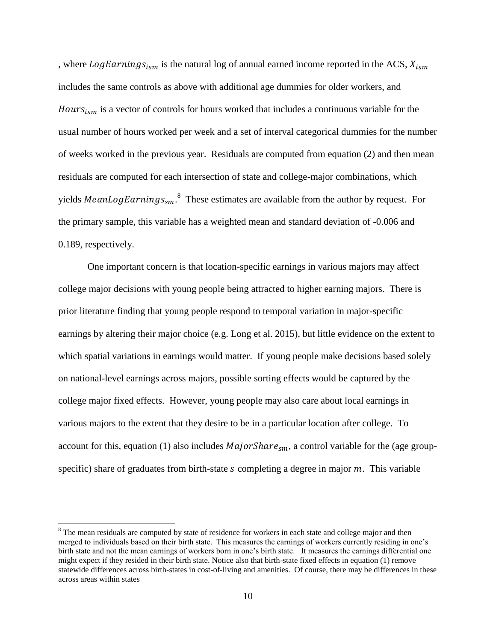, where LogEarnings<sub>ism</sub> is the natural log of annual earned income reported in the ACS,  $X_{ism}$ includes the same controls as above with additional age dummies for older workers, and Hours $s_{ism}$  is a vector of controls for hours worked that includes a continuous variable for the usual number of hours worked per week and a set of interval categorical dummies for the number of weeks worked in the previous year. Residuals are computed from equation (2) and then mean residuals are computed for each intersection of state and college-major combinations, which yields *MeanLogEarnings*<sub>sm</sub>.<sup>8</sup> These estimates are available from the author by request. For the primary sample, this variable has a weighted mean and standard deviation of -0.006 and 0.189, respectively.

One important concern is that location-specific earnings in various majors may affect college major decisions with young people being attracted to higher earning majors. There is prior literature finding that young people respond to temporal variation in major-specific earnings by altering their major choice (e.g. Long et al. 2015), but little evidence on the extent to which spatial variations in earnings would matter. If young people make decisions based solely on national-level earnings across majors, possible sorting effects would be captured by the college major fixed effects. However, young people may also care about local earnings in various majors to the extent that they desire to be in a particular location after college. To account for this, equation (1) also includes  $MajorShare_{sm}$ , a control variable for the (age groupspecific) share of graduates from birth-state  $s$  completing a degree in major  $m$ . This variable

<sup>&</sup>lt;sup>8</sup> The mean residuals are computed by state of residence for workers in each state and college major and then merged to individuals based on their birth state. This measures the earnings of workers currently residing in one's birth state and not the mean earnings of workers born in one's birth state. It measures the earnings differential one might expect if they resided in their birth state. Notice also that birth-state fixed effects in equation (1) remove statewide differences across birth-states in cost-of-living and amenities. Of course, there may be differences in these across areas within states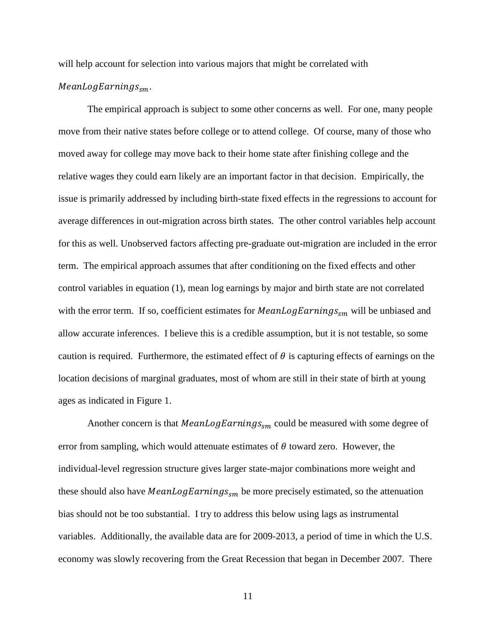will help account for selection into various majors that might be correlated with

# $MeanLogEarningS_{sm}.$

The empirical approach is subject to some other concerns as well. For one, many people move from their native states before college or to attend college. Of course, many of those who moved away for college may move back to their home state after finishing college and the relative wages they could earn likely are an important factor in that decision. Empirically, the issue is primarily addressed by including birth-state fixed effects in the regressions to account for average differences in out-migration across birth states. The other control variables help account for this as well. Unobserved factors affecting pre-graduate out-migration are included in the error term. The empirical approach assumes that after conditioning on the fixed effects and other control variables in equation (1), mean log earnings by major and birth state are not correlated with the error term. If so, coefficient estimates for  $MeanLogEarnings<sub>sm</sub>$  will be unbiased and allow accurate inferences. I believe this is a credible assumption, but it is not testable, so some caution is required. Furthermore, the estimated effect of  $\theta$  is capturing effects of earnings on the location decisions of marginal graduates, most of whom are still in their state of birth at young ages as indicated in Figure 1.

Another concern is that MeanLogEarnings<sub>sm</sub> could be measured with some degree of error from sampling, which would attenuate estimates of  $\theta$  toward zero. However, the individual-level regression structure gives larger state-major combinations more weight and these should also have MeanLogEarnings<sub>sm</sub> be more precisely estimated, so the attenuation bias should not be too substantial. I try to address this below using lags as instrumental variables. Additionally, the available data are for 2009-2013, a period of time in which the U.S. economy was slowly recovering from the Great Recession that began in December 2007. There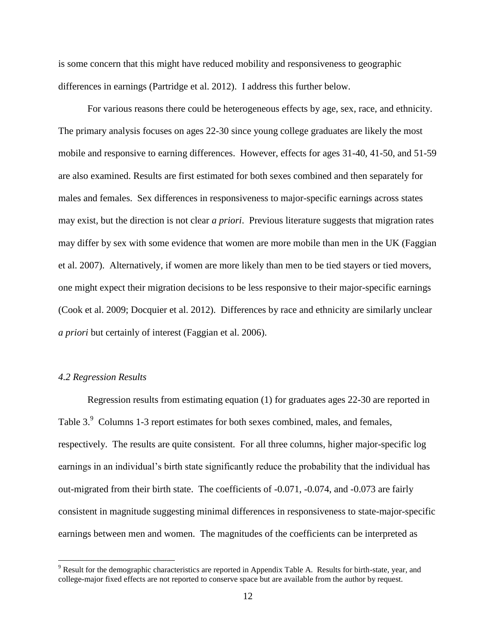is some concern that this might have reduced mobility and responsiveness to geographic differences in earnings (Partridge et al. 2012). I address this further below.

For various reasons there could be heterogeneous effects by age, sex, race, and ethnicity. The primary analysis focuses on ages 22-30 since young college graduates are likely the most mobile and responsive to earning differences. However, effects for ages 31-40, 41-50, and 51-59 are also examined. Results are first estimated for both sexes combined and then separately for males and females. Sex differences in responsiveness to major-specific earnings across states may exist, but the direction is not clear *a priori*. Previous literature suggests that migration rates may differ by sex with some evidence that women are more mobile than men in the UK (Faggian et al. 2007). Alternatively, if women are more likely than men to be tied stayers or tied movers, one might expect their migration decisions to be less responsive to their major-specific earnings (Cook et al. 2009; Docquier et al. 2012). Differences by race and ethnicity are similarly unclear *a priori* but certainly of interest (Faggian et al. 2006).

# *4.2 Regression Results*

 $\overline{a}$ 

Regression results from estimating equation (1) for graduates ages 22-30 are reported in Table 3.<sup>9</sup> Columns 1-3 report estimates for both sexes combined, males, and females, respectively. The results are quite consistent. For all three columns, higher major-specific log earnings in an individual's birth state significantly reduce the probability that the individual has out-migrated from their birth state. The coefficients of -0.071, -0.074, and -0.073 are fairly consistent in magnitude suggesting minimal differences in responsiveness to state-major-specific earnings between men and women. The magnitudes of the coefficients can be interpreted as

<sup>9</sup> Result for the demographic characteristics are reported in Appendix Table A. Results for birth-state, year, and college-major fixed effects are not reported to conserve space but are available from the author by request.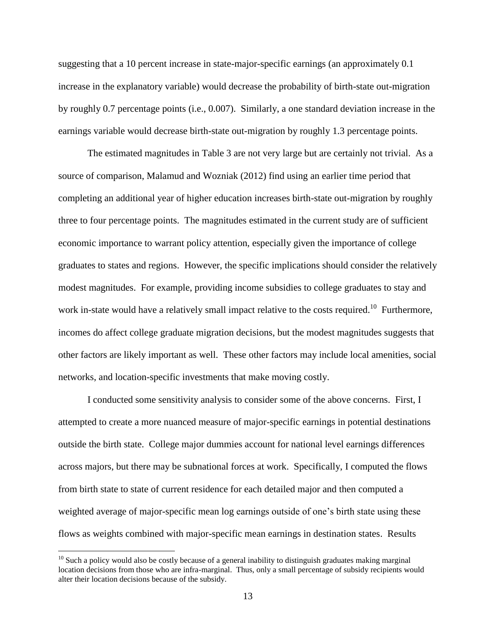suggesting that a 10 percent increase in state-major-specific earnings (an approximately 0.1 increase in the explanatory variable) would decrease the probability of birth-state out-migration by roughly 0.7 percentage points (i.e., 0.007). Similarly, a one standard deviation increase in the earnings variable would decrease birth-state out-migration by roughly 1.3 percentage points.

The estimated magnitudes in Table 3 are not very large but are certainly not trivial. As a source of comparison, Malamud and Wozniak (2012) find using an earlier time period that completing an additional year of higher education increases birth-state out-migration by roughly three to four percentage points. The magnitudes estimated in the current study are of sufficient economic importance to warrant policy attention, especially given the importance of college graduates to states and regions. However, the specific implications should consider the relatively modest magnitudes. For example, providing income subsidies to college graduates to stay and work in-state would have a relatively small impact relative to the costs required.<sup>10</sup> Furthermore, incomes do affect college graduate migration decisions, but the modest magnitudes suggests that other factors are likely important as well. These other factors may include local amenities, social networks, and location-specific investments that make moving costly.

I conducted some sensitivity analysis to consider some of the above concerns. First, I attempted to create a more nuanced measure of major-specific earnings in potential destinations outside the birth state. College major dummies account for national level earnings differences across majors, but there may be subnational forces at work. Specifically, I computed the flows from birth state to state of current residence for each detailed major and then computed a weighted average of major-specific mean log earnings outside of one's birth state using these flows as weights combined with major-specific mean earnings in destination states. Results

 $10$  Such a policy would also be costly because of a general inability to distinguish graduates making marginal location decisions from those who are infra-marginal. Thus, only a small percentage of subsidy recipients would alter their location decisions because of the subsidy.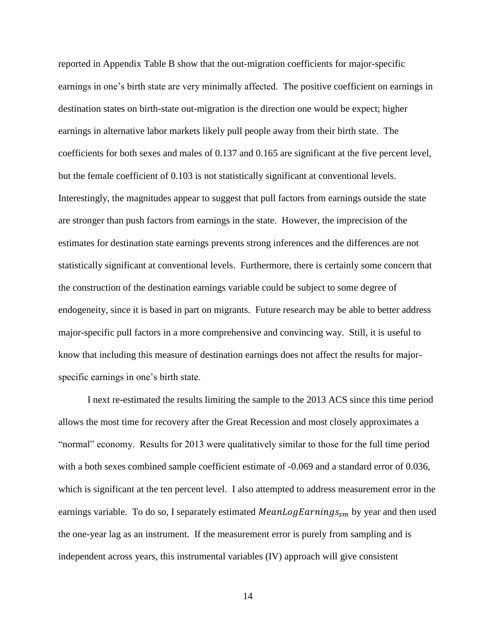reported in Appendix Table B show that the out-migration coefficients for major-specific earnings in one's birth state are very minimally affected. The positive coefficient on earnings in destination states on birth-state out-migration is the direction one would be expect; higher earnings in alternative labor markets likely pull people away from their birth state. The coefficients for both sexes and males of 0.137 and 0.165 are significant at the five percent level, but the female coefficient of 0.103 is not statistically significant at conventional levels. Interestingly, the magnitudes appear to suggest that pull factors from earnings outside the state are stronger than push factors from earnings in the state. However, the imprecision of the estimates for destination state earnings prevents strong inferences and the differences are not statistically significant at conventional levels. Furthermore, there is certainly some concern that the construction of the destination earnings variable could be subject to some degree of endogeneity, since it is based in part on migrants. Future research may be able to better address major-specific pull factors in a more comprehensive and convincing way. Still, it is useful to know that including this measure of destination earnings does not affect the results for majorspecific earnings in one's birth state.

I next re-estimated the results limiting the sample to the 2013 ACS since this time period allows the most time for recovery after the Great Recession and most closely approximates a "normal" economy. Results for 2013 were qualitatively similar to those for the full time period with a both sexes combined sample coefficient estimate of  $-0.069$  and a standard error of 0.036, which is significant at the ten percent level. I also attempted to address measurement error in the earnings variable. To do so, I separately estimated  $MeanLogEarnings<sub>sm</sub>$  by year and then used the one-year lag as an instrument. If the measurement error is purely from sampling and is independent across years, this instrumental variables (IV) approach will give consistent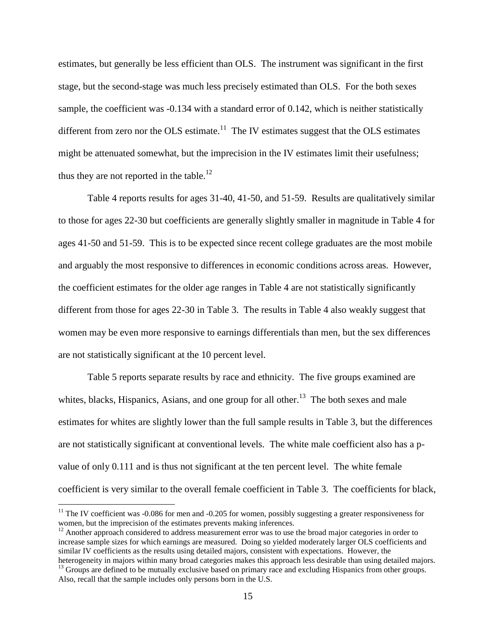estimates, but generally be less efficient than OLS. The instrument was significant in the first stage, but the second-stage was much less precisely estimated than OLS. For the both sexes sample, the coefficient was -0.134 with a standard error of 0.142, which is neither statistically different from zero nor the OLS estimate.<sup>11</sup> The IV estimates suggest that the OLS estimates might be attenuated somewhat, but the imprecision in the IV estimates limit their usefulness; thus they are not reported in the table.<sup>12</sup>

Table 4 reports results for ages 31-40, 41-50, and 51-59. Results are qualitatively similar to those for ages 22-30 but coefficients are generally slightly smaller in magnitude in Table 4 for ages 41-50 and 51-59. This is to be expected since recent college graduates are the most mobile and arguably the most responsive to differences in economic conditions across areas. However, the coefficient estimates for the older age ranges in Table 4 are not statistically significantly different from those for ages 22-30 in Table 3. The results in Table 4 also weakly suggest that women may be even more responsive to earnings differentials than men, but the sex differences are not statistically significant at the 10 percent level.

Table 5 reports separate results by race and ethnicity. The five groups examined are whites, blacks, Hispanics, Asians, and one group for all other.<sup>13</sup> The both sexes and male estimates for whites are slightly lower than the full sample results in Table 3, but the differences are not statistically significant at conventional levels. The white male coefficient also has a pvalue of only 0.111 and is thus not significant at the ten percent level. The white female coefficient is very similar to the overall female coefficient in Table 3. The coefficients for black,

 $11$  The IV coefficient was -0.086 for men and -0.205 for women, possibly suggesting a greater responsiveness for women, but the imprecision of the estimates prevents making inferences.

 $12$  Another approach considered to address measurement error was to use the broad major categories in order to increase sample sizes for which earnings are measured. Doing so yielded moderately larger OLS coefficients and similar IV coefficients as the results using detailed majors, consistent with expectations. However, the heterogeneity in majors within many broad categories makes this approach less desirable than using detailed majors.

<sup>&</sup>lt;sup>13</sup> Groups are defined to be mutually exclusive based on primary race and excluding Hispanics from other groups. Also, recall that the sample includes only persons born in the U.S.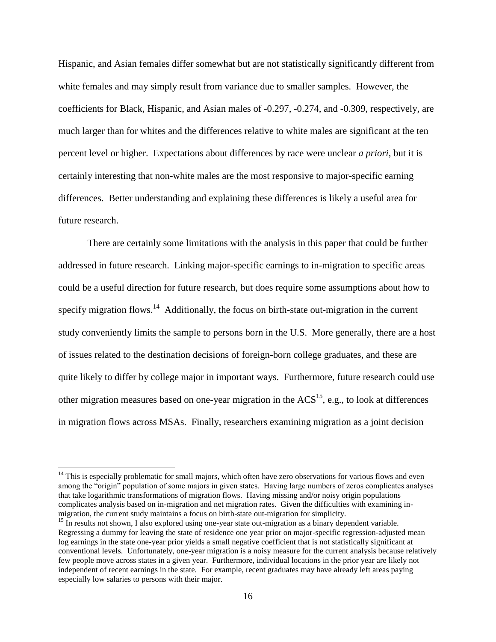Hispanic, and Asian females differ somewhat but are not statistically significantly different from white females and may simply result from variance due to smaller samples. However, the coefficients for Black, Hispanic, and Asian males of -0.297, -0.274, and -0.309, respectively, are much larger than for whites and the differences relative to white males are significant at the ten percent level or higher. Expectations about differences by race were unclear *a priori*, but it is certainly interesting that non-white males are the most responsive to major-specific earning differences. Better understanding and explaining these differences is likely a useful area for future research.

There are certainly some limitations with the analysis in this paper that could be further addressed in future research. Linking major-specific earnings to in-migration to specific areas could be a useful direction for future research, but does require some assumptions about how to specify migration flows.<sup>14</sup> Additionally, the focus on birth-state out-migration in the current study conveniently limits the sample to persons born in the U.S. More generally, there are a host of issues related to the destination decisions of foreign-born college graduates, and these are quite likely to differ by college major in important ways. Furthermore, future research could use other migration measures based on one-year migration in the  $ACS^{15}$ , e.g., to look at differences in migration flows across MSAs. Finally, researchers examining migration as a joint decision

<sup>&</sup>lt;sup>14</sup> This is especially problematic for small majors, which often have zero observations for various flows and even among the "origin" population of some majors in given states. Having large numbers of zeros complicates analyses that take logarithmic transformations of migration flows. Having missing and/or noisy origin populations complicates analysis based on in-migration and net migration rates. Given the difficulties with examining inmigration, the current study maintains a focus on birth-state out-migration for simplicity.

<sup>&</sup>lt;sup>15</sup> In results not shown, I also explored using one-year state out-migration as a binary dependent variable. Regressing a dummy for leaving the state of residence one year prior on major-specific regression-adjusted mean log earnings in the state one-year prior yields a small negative coefficient that is not statistically significant at conventional levels. Unfortunately, one-year migration is a noisy measure for the current analysis because relatively few people move across states in a given year. Furthermore, individual locations in the prior year are likely not independent of recent earnings in the state. For example, recent graduates may have already left areas paying especially low salaries to persons with their major.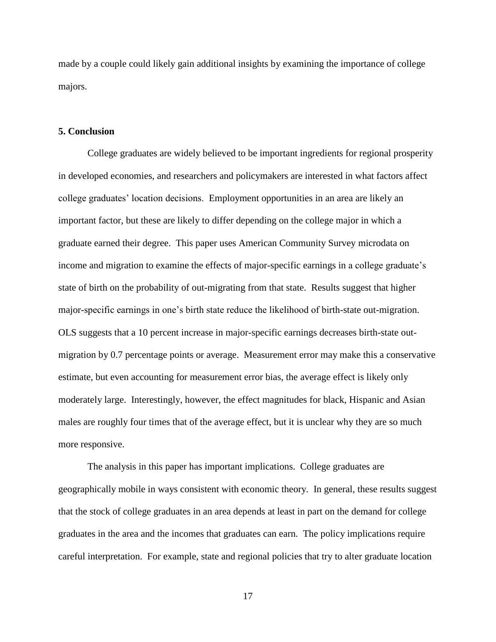made by a couple could likely gain additional insights by examining the importance of college majors.

### **5. Conclusion**

College graduates are widely believed to be important ingredients for regional prosperity in developed economies, and researchers and policymakers are interested in what factors affect college graduates' location decisions. Employment opportunities in an area are likely an important factor, but these are likely to differ depending on the college major in which a graduate earned their degree. This paper uses American Community Survey microdata on income and migration to examine the effects of major-specific earnings in a college graduate's state of birth on the probability of out-migrating from that state. Results suggest that higher major-specific earnings in one's birth state reduce the likelihood of birth-state out-migration. OLS suggests that a 10 percent increase in major-specific earnings decreases birth-state outmigration by 0.7 percentage points or average. Measurement error may make this a conservative estimate, but even accounting for measurement error bias, the average effect is likely only moderately large. Interestingly, however, the effect magnitudes for black, Hispanic and Asian males are roughly four times that of the average effect, but it is unclear why they are so much more responsive.

The analysis in this paper has important implications. College graduates are geographically mobile in ways consistent with economic theory. In general, these results suggest that the stock of college graduates in an area depends at least in part on the demand for college graduates in the area and the incomes that graduates can earn. The policy implications require careful interpretation. For example, state and regional policies that try to alter graduate location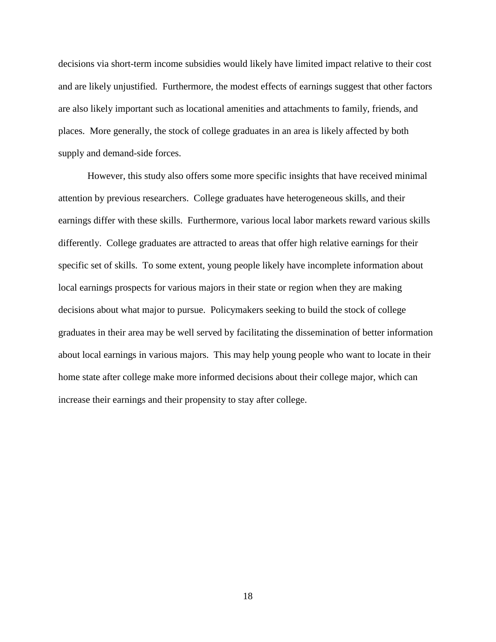decisions via short-term income subsidies would likely have limited impact relative to their cost and are likely unjustified. Furthermore, the modest effects of earnings suggest that other factors are also likely important such as locational amenities and attachments to family, friends, and places. More generally, the stock of college graduates in an area is likely affected by both supply and demand-side forces.

However, this study also offers some more specific insights that have received minimal attention by previous researchers. College graduates have heterogeneous skills, and their earnings differ with these skills. Furthermore, various local labor markets reward various skills differently. College graduates are attracted to areas that offer high relative earnings for their specific set of skills. To some extent, young people likely have incomplete information about local earnings prospects for various majors in their state or region when they are making decisions about what major to pursue. Policymakers seeking to build the stock of college graduates in their area may be well served by facilitating the dissemination of better information about local earnings in various majors. This may help young people who want to locate in their home state after college make more informed decisions about their college major, which can increase their earnings and their propensity to stay after college.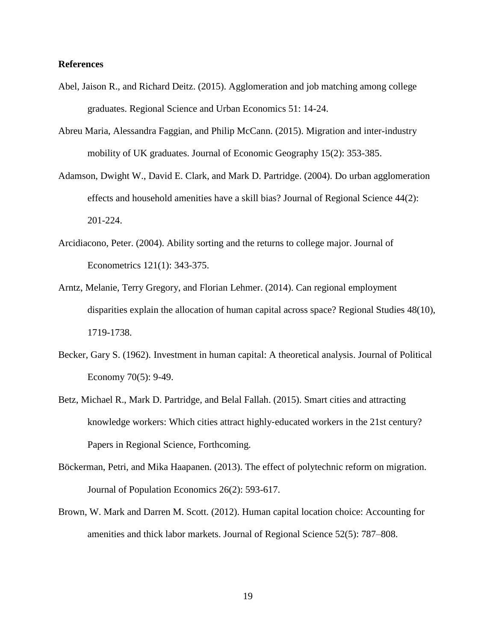# **References**

- Abel, Jaison R., and Richard Deitz. (2015). Agglomeration and job matching among college graduates. Regional Science and Urban Economics 51: 14-24.
- Abreu Maria, Alessandra Faggian, and Philip McCann. (2015). Migration and inter-industry mobility of UK graduates. Journal of Economic Geography 15(2): 353-385.
- Adamson, Dwight W., David E. Clark, and Mark D. Partridge. (2004). Do urban agglomeration effects and household amenities have a skill bias? Journal of Regional Science 44(2): 201-224.
- Arcidiacono, Peter. (2004). Ability sorting and the returns to college major. Journal of Econometrics 121(1): 343-375.
- Arntz, Melanie, Terry Gregory, and Florian Lehmer. (2014). Can regional employment disparities explain the allocation of human capital across space? Regional Studies 48(10), 1719-1738.
- Becker, Gary S. (1962). Investment in human capital: A theoretical analysis. Journal of Political Economy 70(5): 9-49.
- Betz, Michael R., Mark D. Partridge, and Belal Fallah. (2015). Smart cities and attracting knowledge workers: Which cities attract highly-educated workers in the 21st century? Papers in Regional Science, Forthcoming.
- Böckerman, Petri, and Mika Haapanen. (2013). The effect of polytechnic reform on migration. Journal of Population Economics 26(2): 593-617.
- Brown, W. Mark and Darren M. Scott. (2012). Human capital location choice: Accounting for amenities and thick labor markets. Journal of Regional Science 52(5): 787–808.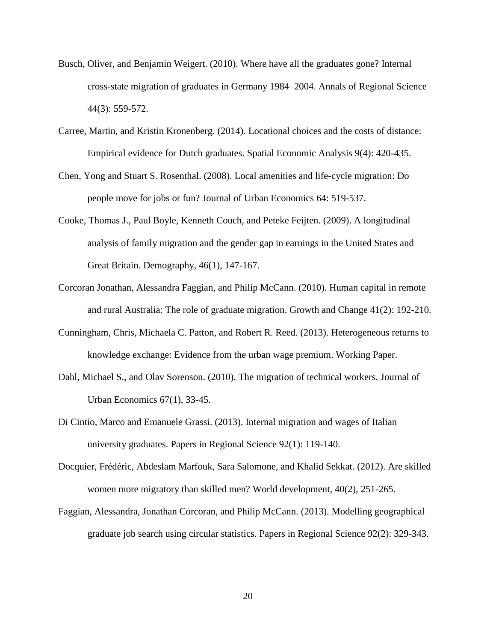- Busch, Oliver, and Benjamin Weigert. (2010). Where have all the graduates gone? Internal cross-state migration of graduates in Germany 1984–2004. Annals of Regional Science 44(3): 559-572.
- Carree, Martin, and Kristin Kronenberg. (2014). Locational choices and the costs of distance: Empirical evidence for Dutch graduates. Spatial Economic Analysis 9(4): 420-435.
- Chen, Yong and Stuart S. Rosenthal. (2008). Local amenities and life-cycle migration: Do people move for jobs or fun? Journal of Urban Economics 64: 519-537.
- Cooke, Thomas J., Paul Boyle, Kenneth Couch, and Peteke Feijten. (2009). A longitudinal analysis of family migration and the gender gap in earnings in the United States and Great Britain. Demography, 46(1), 147-167.
- Corcoran Jonathan, Alessandra Faggian, and Philip McCann. (2010). Human capital in remote and rural Australia: The role of graduate migration. Growth and Change 41(2): 192-210.
- Cunningham, Chris, Michaela C. Patton, and Robert R. Reed. (2013). Heterogeneous returns to knowledge exchange: Evidence from the urban wage premium. Working Paper.
- Dahl, Michael S., and Olav Sorenson. (2010). The migration of technical workers. Journal of Urban Economics 67(1), 33-45.
- Di Cintio, Marco and Emanuele Grassi. (2013). Internal migration and wages of Italian university graduates. Papers in Regional Science 92(1): 119-140.
- Docquier, Frédéric, Abdeslam Marfouk, Sara Salomone, and Khalid Sekkat. (2012). Are skilled women more migratory than skilled men? World development, 40(2), 251-265.
- Faggian, Alessandra, Jonathan Corcoran, and Philip McCann. (2013). Modelling geographical graduate job search using circular statistics. Papers in Regional Science 92(2): 329-343.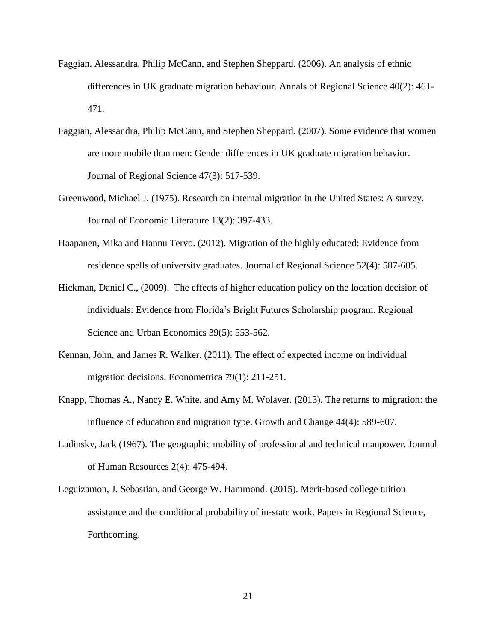- Faggian, Alessandra, Philip McCann, and Stephen Sheppard. (2006). An analysis of ethnic differences in UK graduate migration behaviour. Annals of Regional Science 40(2): 461- 471.
- Faggian, Alessandra, Philip McCann, and Stephen Sheppard. (2007). Some evidence that women are more mobile than men: Gender differences in UK graduate migration behavior. Journal of Regional Science 47(3): 517-539.
- Greenwood, Michael J. (1975). Research on internal migration in the United States: A survey. Journal of Economic Literature 13(2): 397-433.
- Haapanen, Mika and Hannu Tervo. (2012). Migration of the highly educated: Evidence from residence spells of university graduates. Journal of Regional Science 52(4): 587-605.
- Hickman, Daniel C., (2009). The effects of higher education policy on the location decision of individuals: Evidence from Florida's Bright Futures Scholarship program. Regional Science and Urban Economics 39(5): 553-562.
- Kennan, John, and James R. Walker. (2011). The effect of expected income on individual migration decisions. Econometrica 79(1): 211-251.
- Knapp, Thomas A., Nancy E. White, and Amy M. Wolaver. (2013). The returns to migration: the influence of education and migration type. Growth and Change 44(4): 589-607.
- Ladinsky, Jack (1967). The geographic mobility of professional and technical manpower. Journal of Human Resources 2(4): 475-494.
- Leguizamon, J. Sebastian, and George W. Hammond. (2015). Merit‐based college tuition assistance and the conditional probability of in‐state work. Papers in Regional Science, Forthcoming.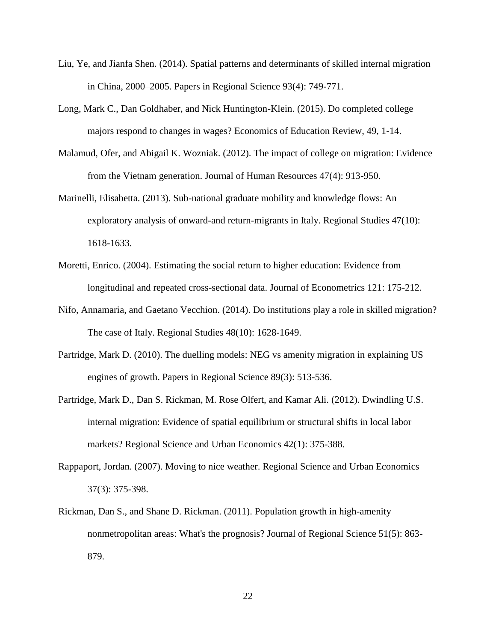- Liu, Ye, and Jianfa Shen. (2014). Spatial patterns and determinants of skilled internal migration in China, 2000–2005. Papers in Regional Science 93(4): 749-771.
- Long, Mark C., Dan Goldhaber, and Nick Huntington-Klein. (2015). Do completed college majors respond to changes in wages? Economics of Education Review, 49, 1-14.
- Malamud, Ofer, and Abigail K. Wozniak. (2012). The impact of college on migration: Evidence from the Vietnam generation. Journal of Human Resources 47(4): 913-950.
- Marinelli, Elisabetta. (2013). Sub-national graduate mobility and knowledge flows: An exploratory analysis of onward-and return-migrants in Italy. Regional Studies 47(10): 1618-1633.
- Moretti, Enrico. (2004). Estimating the social return to higher education: Evidence from longitudinal and repeated cross-sectional data. Journal of Econometrics 121: 175-212.
- Nifo, Annamaria, and Gaetano Vecchion. (2014). Do institutions play a role in skilled migration? The case of Italy. Regional Studies 48(10): 1628-1649.
- Partridge, Mark D. (2010). The duelling models: NEG vs amenity migration in explaining US engines of growth. Papers in Regional Science 89(3): 513-536.
- Partridge, Mark D., Dan S. Rickman, M. Rose Olfert, and Kamar Ali. (2012). Dwindling U.S. internal migration: Evidence of spatial equilibrium or structural shifts in local labor markets? Regional Science and Urban Economics 42(1): 375-388.
- Rappaport, Jordan. (2007). Moving to nice weather. Regional Science and Urban Economics 37(3): 375-398.
- Rickman, Dan S., and Shane D. Rickman. (2011). Population growth in high-amenity nonmetropolitan areas: What's the prognosis? Journal of Regional Science 51(5): 863- 879.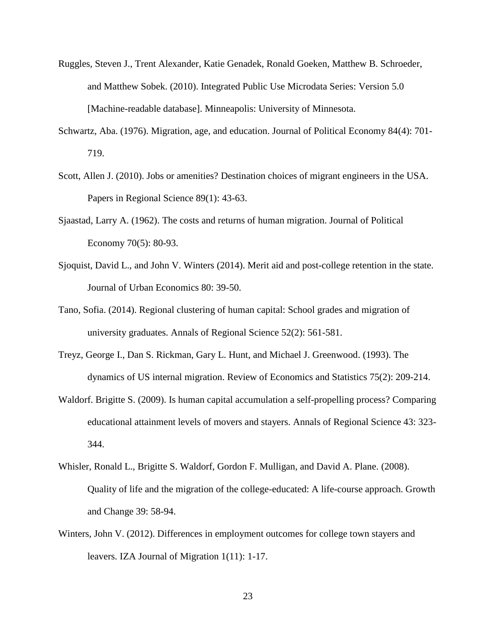- Ruggles, Steven J., Trent Alexander, Katie Genadek, Ronald Goeken, Matthew B. Schroeder, and Matthew Sobek. (2010). Integrated Public Use Microdata Series: Version 5.0 [Machine-readable database]. Minneapolis: University of Minnesota.
- Schwartz, Aba. (1976). Migration, age, and education. Journal of Political Economy 84(4): 701- 719.
- Scott, Allen J. (2010). Jobs or amenities? Destination choices of migrant engineers in the USA. Papers in Regional Science 89(1): 43-63.
- Sjaastad, Larry A. (1962). The costs and returns of human migration. Journal of Political Economy 70(5): 80-93.
- Sjoquist, David L., and John V. Winters (2014). Merit aid and post-college retention in the state. Journal of Urban Economics 80: 39-50.
- Tano, Sofia. (2014). Regional clustering of human capital: School grades and migration of university graduates. Annals of Regional Science 52(2): 561-581.
- Treyz, George I., Dan S. Rickman, Gary L. Hunt, and Michael J. Greenwood. (1993). The dynamics of US internal migration. Review of Economics and Statistics 75(2): 209-214.
- Waldorf. Brigitte S. (2009). Is human capital accumulation a self-propelling process? Comparing educational attainment levels of movers and stayers. Annals of Regional Science 43: 323- 344.
- Whisler, Ronald L., Brigitte S. Waldorf, Gordon F. Mulligan, and David A. Plane. (2008). Quality of life and the migration of the college-educated: A life-course approach. Growth and Change 39: 58-94.
- Winters, John V. (2012). Differences in employment outcomes for college town stayers and leavers. IZA Journal of Migration 1(11): 1-17.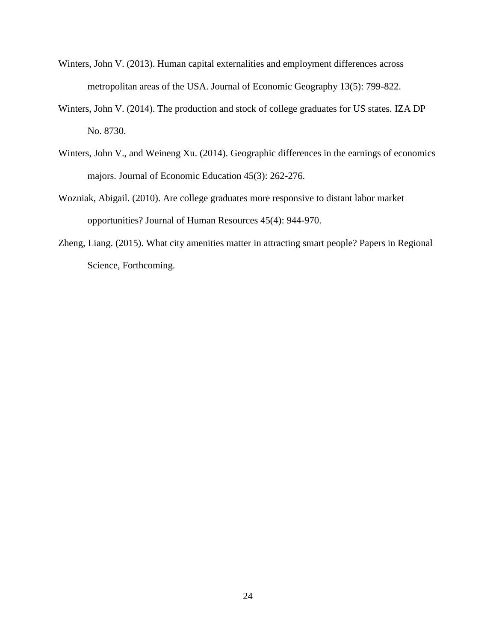- Winters, John V. (2013). Human capital externalities and employment differences across metropolitan areas of the USA. Journal of Economic Geography 13(5): 799-822.
- Winters, John V. (2014). The production and stock of college graduates for US states. IZA DP No. 8730.
- Winters, John V., and Weineng Xu. (2014). Geographic differences in the earnings of economics majors. Journal of Economic Education 45(3): 262-276.
- Wozniak, Abigail. (2010). Are college graduates more responsive to distant labor market opportunities? Journal of Human Resources 45(4): 944-970.
- Zheng, Liang. (2015). What city amenities matter in attracting smart people? Papers in Regional Science, Forthcoming.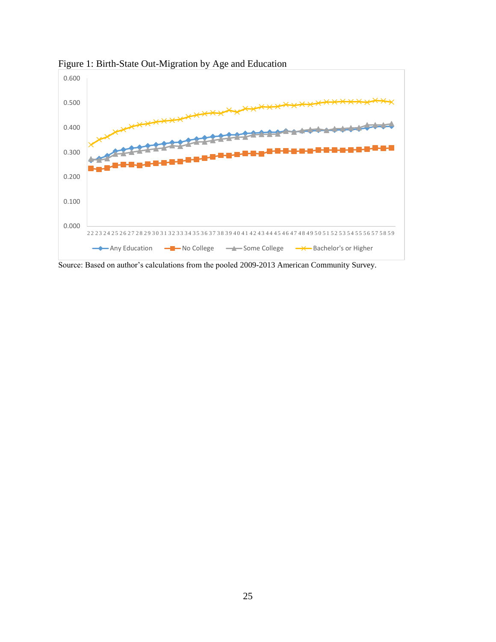

Figure 1: Birth-State Out-Migration by Age and Education

Source: Based on author's calculations from the pooled 2009-2013 American Community Survey.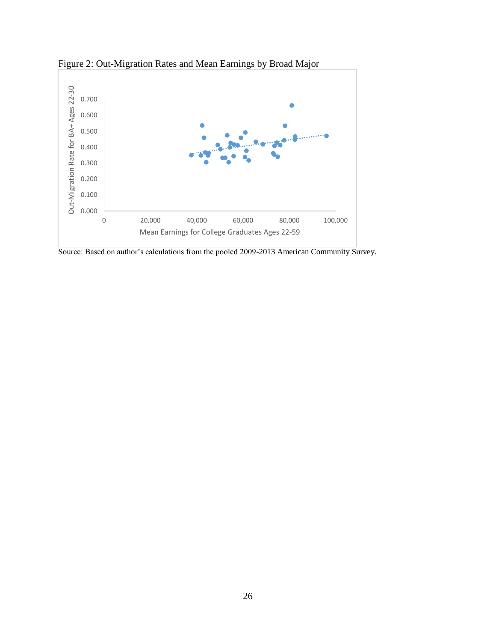

Figure 2: Out-Migration Rates and Mean Earnings by Broad Major

Source: Based on author's calculations from the pooled 2009-2013 American Community Survey.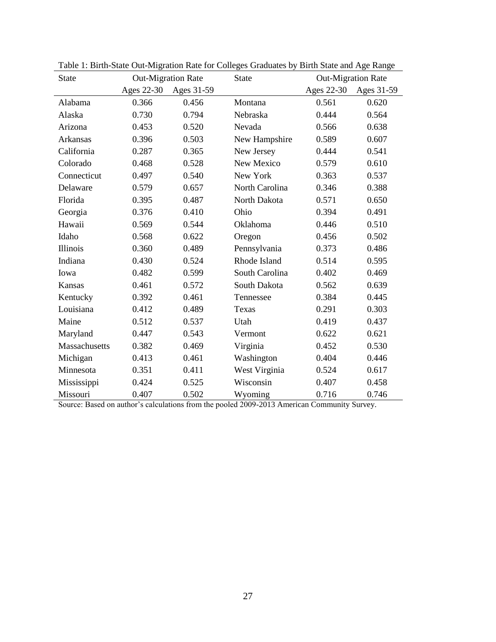| <b>State</b>  | <b>Out-Migration Rate</b> |            | <b>State</b>   | <b>Out-Migration Rate</b> |            |  |
|---------------|---------------------------|------------|----------------|---------------------------|------------|--|
|               | Ages 22-30                | Ages 31-59 |                | Ages 22-30                | Ages 31-59 |  |
| Alabama       | 0.366                     | 0.456      | Montana        | 0.561                     | 0.620      |  |
| Alaska        | 0.730                     | 0.794      | Nebraska       | 0.444                     | 0.564      |  |
| Arizona       | 0.453                     | 0.520      | Nevada         | 0.566                     | 0.638      |  |
| Arkansas      | 0.396                     | 0.503      | New Hampshire  | 0.589                     | 0.607      |  |
| California    | 0.287                     | 0.365      | New Jersey     | 0.444                     | 0.541      |  |
| Colorado      | 0.468                     | 0.528      | New Mexico     | 0.579                     | 0.610      |  |
| Connecticut   | 0.497                     | 0.540      | New York       | 0.363                     | 0.537      |  |
| Delaware      | 0.579                     | 0.657      | North Carolina | 0.346                     | 0.388      |  |
| Florida       | 0.395                     | 0.487      | North Dakota   | 0.571                     | 0.650      |  |
| Georgia       | 0.376                     | 0.410      | Ohio           | 0.394                     | 0.491      |  |
| Hawaii        | 0.569                     | 0.544      | Oklahoma       | 0.446                     | 0.510      |  |
| Idaho         | 0.568                     | 0.622      | Oregon         | 0.456                     | 0.502      |  |
| Illinois      | 0.360                     | 0.489      | Pennsylvania   | 0.373                     | 0.486      |  |
| Indiana       | 0.430                     | 0.524      | Rhode Island   | 0.514                     | 0.595      |  |
| Iowa          | 0.482                     | 0.599      | South Carolina | 0.402                     | 0.469      |  |
| Kansas        | 0.461                     | 0.572      | South Dakota   | 0.562                     | 0.639      |  |
| Kentucky      | 0.392                     | 0.461      | Tennessee      | 0.384                     | 0.445      |  |
| Louisiana     | 0.412                     | 0.489      | Texas          | 0.291                     | 0.303      |  |
| Maine         | 0.512                     | 0.537      | Utah           | 0.419                     | 0.437      |  |
| Maryland      | 0.447                     | 0.543      | Vermont        | 0.622                     | 0.621      |  |
| Massachusetts | 0.382                     | 0.469      | Virginia       | 0.452                     | 0.530      |  |
| Michigan      | 0.413                     | 0.461      | Washington     | 0.404                     | 0.446      |  |
| Minnesota     | 0.351                     | 0.411      | West Virginia  | 0.524                     | 0.617      |  |
| Mississippi   | 0.424                     | 0.525      | Wisconsin      | 0.407                     | 0.458      |  |
| Missouri      | 0.407                     | 0.502      | Wyoming        | 0.716                     | 0.746      |  |

Table 1: Birth-State Out-Migration Rate for Colleges Graduates by Birth State and Age Range

Source: Based on author's calculations from the pooled 2009-2013 American Community Survey.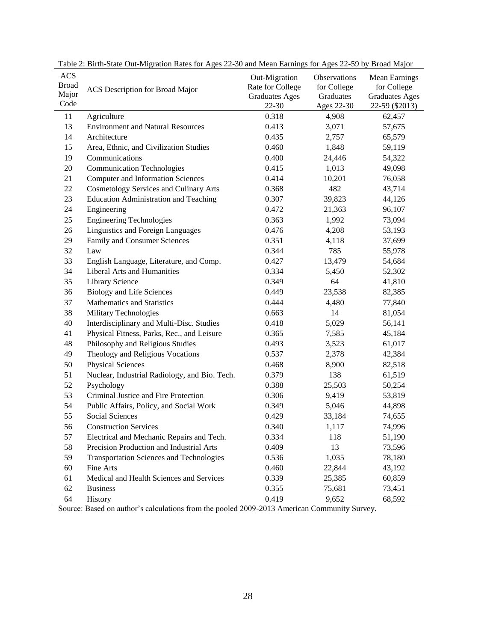| <b>ACS</b><br><b>Broad</b><br>Major<br>Code | ACS Description for Broad Major                 | Out-Migration<br>Rate for College<br><b>Graduates Ages</b><br>$22 - 30$ | Observations<br>for College<br>Graduates<br>Ages 22-30 | <b>Mean Earnings</b><br>for College<br><b>Graduates Ages</b><br>22-59 (\$2013) |
|---------------------------------------------|-------------------------------------------------|-------------------------------------------------------------------------|--------------------------------------------------------|--------------------------------------------------------------------------------|
| 11                                          | Agriculture                                     | 0.318                                                                   | 4,908                                                  | 62,457                                                                         |
| 13                                          | <b>Environment and Natural Resources</b>        | 0.413                                                                   | 3,071                                                  | 57,675                                                                         |
| 14                                          | Architecture                                    | 0.435                                                                   | 2,757                                                  | 65,579                                                                         |
| 15                                          | Area, Ethnic, and Civilization Studies          | 0.460                                                                   | 1,848                                                  | 59,119                                                                         |
| 19                                          | Communications                                  | 0.400                                                                   | 24,446                                                 | 54,322                                                                         |
| 20                                          | <b>Communication Technologies</b>               | 0.415                                                                   | 1,013                                                  | 49,098                                                                         |
| 21                                          | <b>Computer and Information Sciences</b>        | 0.414                                                                   | 10,201                                                 | 76,058                                                                         |
| 22                                          | <b>Cosmetology Services and Culinary Arts</b>   | 0.368                                                                   | 482                                                    | 43,714                                                                         |
| 23                                          | <b>Education Administration and Teaching</b>    | 0.307                                                                   | 39,823                                                 | 44,126                                                                         |
| 24                                          | Engineering                                     | 0.472                                                                   | 21,363                                                 | 96,107                                                                         |
| 25                                          | <b>Engineering Technologies</b>                 | 0.363                                                                   | 1,992                                                  | 73,094                                                                         |
| 26                                          | Linguistics and Foreign Languages               | 0.476                                                                   | 4,208                                                  | 53,193                                                                         |
| 29                                          | Family and Consumer Sciences                    | 0.351                                                                   | 4,118                                                  | 37,699                                                                         |
| 32                                          | Law                                             | 0.344                                                                   | 785                                                    | 55,978                                                                         |
| 33                                          | English Language, Literature, and Comp.         | 0.427                                                                   | 13,479                                                 | 54,684                                                                         |
| 34                                          | Liberal Arts and Humanities                     | 0.334                                                                   | 5,450                                                  | 52,302                                                                         |
| 35                                          | Library Science                                 | 0.349                                                                   | 64                                                     | 41,810                                                                         |
| 36                                          | <b>Biology and Life Sciences</b>                | 0.449                                                                   | 23,538                                                 | 82,385                                                                         |
| 37                                          | Mathematics and Statistics                      | 0.444                                                                   | 4,480                                                  | 77,840                                                                         |
| 38                                          | Military Technologies                           | 0.663                                                                   | 14                                                     | 81,054                                                                         |
| 40                                          | Interdisciplinary and Multi-Disc. Studies       | 0.418                                                                   | 5,029                                                  | 56,141                                                                         |
| 41                                          | Physical Fitness, Parks, Rec., and Leisure      | 0.365                                                                   | 7,585                                                  | 45,184                                                                         |
| 48                                          | Philosophy and Religious Studies                | 0.493                                                                   | 3,523                                                  | 61,017                                                                         |
| 49                                          | Theology and Religious Vocations                | 0.537                                                                   | 2,378                                                  | 42,384                                                                         |
| 50                                          | <b>Physical Sciences</b>                        | 0.468                                                                   | 8,900                                                  | 82,518                                                                         |
| 51                                          | Nuclear, Industrial Radiology, and Bio. Tech.   | 0.379                                                                   | 138                                                    | 61,519                                                                         |
| 52                                          | Psychology                                      | 0.388                                                                   | 25,503                                                 | 50,254                                                                         |
| 53                                          | Criminal Justice and Fire Protection            | 0.306                                                                   | 9,419                                                  | 53,819                                                                         |
| 54                                          | Public Affairs, Policy, and Social Work         | 0.349                                                                   | 5,046                                                  | 44,898                                                                         |
| 55                                          | <b>Social Sciences</b>                          | 0.429                                                                   | 33,184                                                 | 74,655                                                                         |
| 56                                          | <b>Construction Services</b>                    | 0.340                                                                   | 1,117                                                  | 74,996                                                                         |
| 57                                          | Electrical and Mechanic Repairs and Tech.       | 0.334                                                                   | 118                                                    | 51,190                                                                         |
| 58                                          | Precision Production and Industrial Arts        | 0.409                                                                   | 13                                                     | 73,596                                                                         |
| 59                                          | <b>Transportation Sciences and Technologies</b> | 0.536                                                                   | 1,035                                                  | 78,180                                                                         |
| 60                                          | Fine Arts                                       | 0.460                                                                   | 22,844                                                 | 43,192                                                                         |
| 61                                          | Medical and Health Sciences and Services        | 0.339                                                                   | 25,385                                                 | 60,859                                                                         |
| 62                                          | <b>Business</b>                                 | 0.355                                                                   | 75,681                                                 | 73,451                                                                         |
| 64                                          | History                                         | 0.419                                                                   | 9,652                                                  | 68,592                                                                         |

Table 2: Birth-State Out-Migration Rates for Ages 22-30 and Mean Earnings for Ages 22-59 by Broad Major

Source: Based on author's calculations from the pooled 2009-2013 American Community Survey.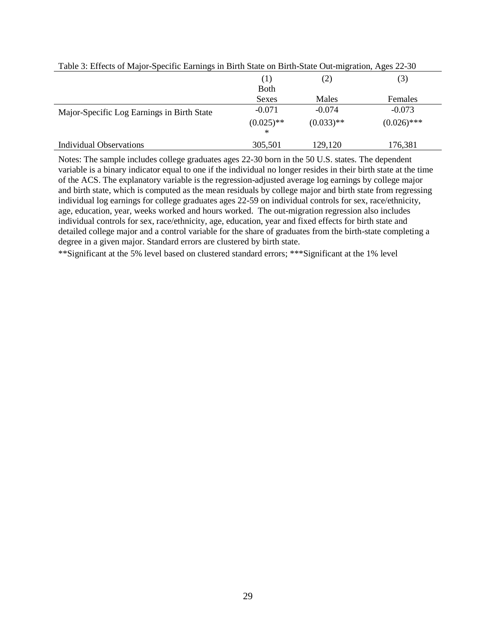| 3.11<br>$=$ $\frac{1}{2}$ $\frac{1}{2}$ $\frac{1}{2}$ $\frac{1}{2}$ $\frac{1}{2}$ $\frac{1}{2}$ $\frac{1}{2}$ $\frac{1}{2}$ $\frac{1}{2}$ $\frac{1}{2}$ $\frac{1}{2}$ $\frac{1}{2}$ $\frac{1}{2}$ $\frac{1}{2}$ $\frac{1}{2}$ $\frac{1}{2}$ $\frac{1}{2}$ $\frac{1}{2}$ $\frac{1}{2}$ $\frac{1}{2}$ $\frac{1}{2}$ $\frac{1}{2$ |                   |              |               |  |
|--------------------------------------------------------------------------------------------------------------------------------------------------------------------------------------------------------------------------------------------------------------------------------------------------------------------------------|-------------------|--------------|---------------|--|
|                                                                                                                                                                                                                                                                                                                                | (1)               | (2)          | (3)           |  |
|                                                                                                                                                                                                                                                                                                                                | <b>Both</b>       |              |               |  |
|                                                                                                                                                                                                                                                                                                                                | Sexes             | Males        | Females       |  |
| Major-Specific Log Earnings in Birth State                                                                                                                                                                                                                                                                                     | $-0.071$          | $-0.074$     | $-0.073$      |  |
|                                                                                                                                                                                                                                                                                                                                | $(0.025)$ **<br>∗ | $(0.033)$ ** | $(0.026)$ *** |  |
| Individual Observations                                                                                                                                                                                                                                                                                                        | 305,501           | 129,120      | 176,381       |  |

Table 3: Effects of Major-Specific Earnings in Birth State on Birth-State Out-migration, Ages 22-30

Notes: The sample includes college graduates ages 22-30 born in the 50 U.S. states. The dependent variable is a binary indicator equal to one if the individual no longer resides in their birth state at the time of the ACS. The explanatory variable is the regression-adjusted average log earnings by college major and birth state, which is computed as the mean residuals by college major and birth state from regressing individual log earnings for college graduates ages 22-59 on individual controls for sex, race/ethnicity, age, education, year, weeks worked and hours worked. The out-migration regression also includes individual controls for sex, race/ethnicity, age, education, year and fixed effects for birth state and detailed college major and a control variable for the share of graduates from the birth-state completing a degree in a given major. Standard errors are clustered by birth state.

\*\*Significant at the 5% level based on clustered standard errors; \*\*\*Significant at the 1% level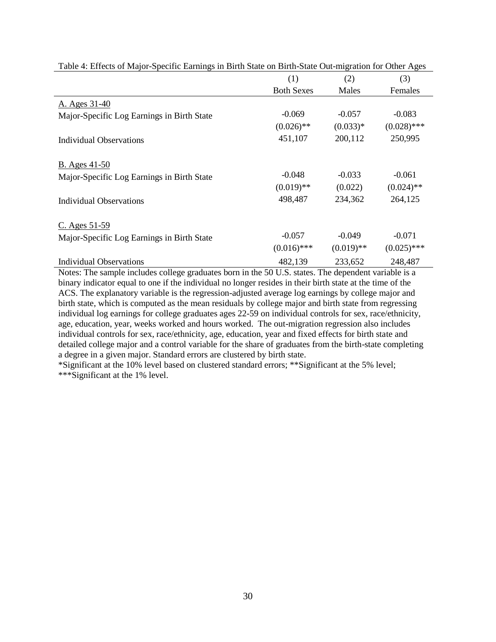|                                            | (1)               | (2)          | (3)           |
|--------------------------------------------|-------------------|--------------|---------------|
|                                            | <b>Both Sexes</b> | Males        | Females       |
| A. Ages 31-40                              |                   |              |               |
| Major-Specific Log Earnings in Birth State | $-0.069$          | $-0.057$     | $-0.083$      |
|                                            | $(0.026)$ **      | $(0.033)*$   | $(0.028)$ *** |
| Individual Observations                    | 451,107           | 200,112      | 250,995       |
| <b>B.</b> Ages 41-50                       |                   |              |               |
| Major-Specific Log Earnings in Birth State | $-0.048$          | $-0.033$     | $-0.061$      |
|                                            | $(0.019)$ **      | (0.022)      | $(0.024)$ **  |
| Individual Observations                    | 498,487           | 234,362      | 264,125       |
| $C.$ Ages 51-59                            |                   |              |               |
| Major-Specific Log Earnings in Birth State | $-0.057$          | $-0.049$     | $-0.071$      |
|                                            | $(0.016)$ ***     | $(0.019)$ ** | $(0.025)$ *** |
| <b>Individual Observations</b>             | 482,139           | 233,652      | 248,487       |

Table 4: Effects of Major-Specific Earnings in Birth State on Birth-State Out-migration for Other Ages

Notes: The sample includes college graduates born in the 50 U.S. states. The dependent variable is a binary indicator equal to one if the individual no longer resides in their birth state at the time of the ACS. The explanatory variable is the regression-adjusted average log earnings by college major and birth state, which is computed as the mean residuals by college major and birth state from regressing individual log earnings for college graduates ages 22-59 on individual controls for sex, race/ethnicity, age, education, year, weeks worked and hours worked. The out-migration regression also includes individual controls for sex, race/ethnicity, age, education, year and fixed effects for birth state and detailed college major and a control variable for the share of graduates from the birth-state completing a degree in a given major. Standard errors are clustered by birth state.

\*Significant at the 10% level based on clustered standard errors; \*\*Significant at the 5% level; \*\*\*Significant at the 1% level.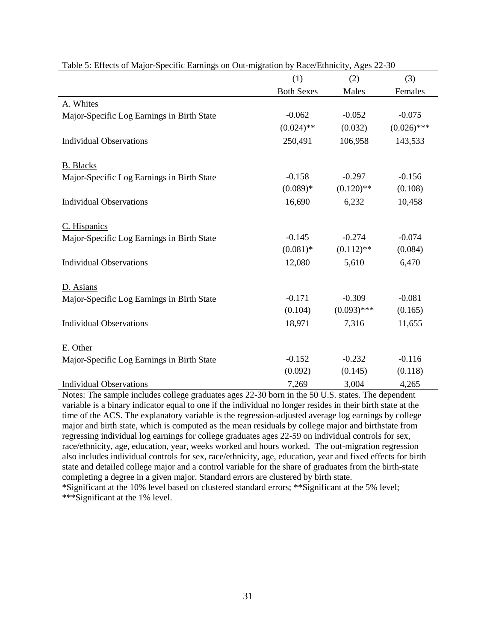|                                            | (1)               | (2)           | (3)           |
|--------------------------------------------|-------------------|---------------|---------------|
|                                            | <b>Both Sexes</b> | Males         | Females       |
| A. Whites                                  |                   |               |               |
| Major-Specific Log Earnings in Birth State | $-0.062$          | $-0.052$      | $-0.075$      |
|                                            | $(0.024)$ **      | (0.032)       | $(0.026)$ *** |
| <b>Individual Observations</b>             | 250,491           | 106,958       | 143,533       |
| <b>B.</b> Blacks                           |                   |               |               |
| Major-Specific Log Earnings in Birth State | $-0.158$          | $-0.297$      | $-0.156$      |
|                                            | $(0.089)*$        | $(0.120)$ **  | (0.108)       |
| <b>Individual Observations</b>             | 16,690            | 6,232         | 10,458        |
| C. Hispanics                               |                   |               |               |
| Major-Specific Log Earnings in Birth State | $-0.145$          | $-0.274$      | $-0.074$      |
|                                            | $(0.081)$ *       | $(0.112)$ **  | (0.084)       |
| <b>Individual Observations</b>             | 12,080            | 5,610         | 6,470         |
| D. Asians                                  |                   |               |               |
| Major-Specific Log Earnings in Birth State | $-0.171$          | $-0.309$      | $-0.081$      |
|                                            | (0.104)           | $(0.093)$ *** | (0.165)       |
| <b>Individual Observations</b>             | 18,971            | 7,316         | 11,655        |
| E. Other                                   |                   |               |               |
| Major-Specific Log Earnings in Birth State | $-0.152$          | $-0.232$      | $-0.116$      |
|                                            | (0.092)           | (0.145)       | (0.118)       |
| <b>Individual Observations</b>             | 7,269             | 3,004         | 4,265         |

Table 5: Effects of Major-Specific Earnings on Out-migration by Race/Ethnicity, Ages 22-30

Notes: The sample includes college graduates ages 22-30 born in the 50 U.S. states. The dependent variable is a binary indicator equal to one if the individual no longer resides in their birth state at the time of the ACS. The explanatory variable is the regression-adjusted average log earnings by college major and birth state, which is computed as the mean residuals by college major and birthstate from regressing individual log earnings for college graduates ages 22-59 on individual controls for sex, race/ethnicity, age, education, year, weeks worked and hours worked. The out-migration regression also includes individual controls for sex, race/ethnicity, age, education, year and fixed effects for birth state and detailed college major and a control variable for the share of graduates from the birth-state completing a degree in a given major. Standard errors are clustered by birth state. \*Significant at the 10% level based on clustered standard errors; \*\*Significant at the 5% level;

\*\*\*Significant at the 1% level.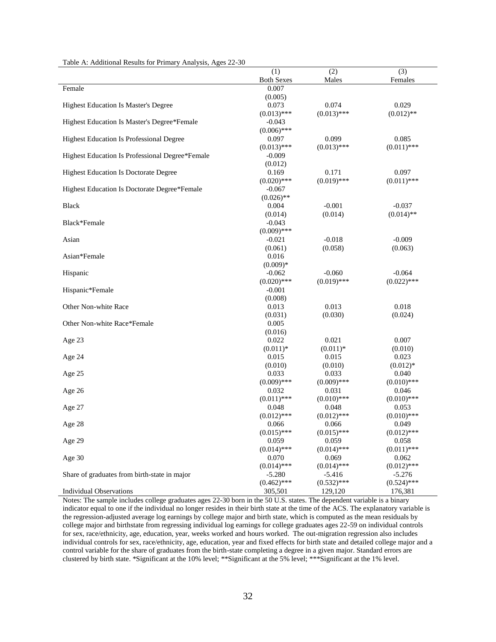|                                                 | (1)               | (2)           | (3)           |
|-------------------------------------------------|-------------------|---------------|---------------|
|                                                 | <b>Both Sexes</b> | Males         | Females       |
| Female                                          | 0.007             |               |               |
|                                                 | (0.005)           |               |               |
| Highest Education Is Master's Degree            | 0.073             | 0.074         | 0.029         |
|                                                 | $(0.013)$ ***     | $(0.013)$ *** | $(0.012)$ **  |
| Highest Education Is Master's Degree*Female     | $-0.043$          |               |               |
|                                                 | $(0.006)$ ***     |               |               |
| <b>Highest Education Is Professional Degree</b> | 0.097             | 0.099         | 0.085         |
|                                                 | $(0.013)$ ***     | $(0.013)$ *** | $(0.011)$ *** |
| Highest Education Is Professional Degree*Female | $-0.009$          |               |               |
|                                                 | (0.012)           |               |               |
| <b>Highest Education Is Doctorate Degree</b>    | 0.169             | 0.171         | 0.097         |
|                                                 | $(0.020)$ ***     | $(0.019)$ *** | $(0.011)$ *** |
| Highest Education Is Doctorate Degree*Female    | $-0.067$          |               |               |
|                                                 | $(0.026)$ **      |               |               |
| <b>Black</b>                                    | 0.004             | $-0.001$      | $-0.037$      |
|                                                 | (0.014)           | (0.014)       | $(0.014)$ **  |
| Black*Female                                    | $-0.043$          |               |               |
|                                                 | $(0.009)$ ***     |               |               |
| Asian                                           | $-0.021$          | $-0.018$      | $-0.009$      |
|                                                 | (0.061)           | (0.058)       | (0.063)       |
| Asian*Female                                    | 0.016             |               |               |
|                                                 | $(0.009)*$        |               |               |
| Hispanic                                        | $-0.062$          | $-0.060$      | $-0.064$      |
|                                                 | $(0.020)$ ***     | $(0.019)$ *** | $(0.022)$ *** |
| Hispanic*Female                                 | $-0.001$          |               |               |
|                                                 | (0.008)           |               |               |
| Other Non-white Race                            | 0.013             | 0.013         | 0.018         |
|                                                 | (0.031)           | (0.030)       | (0.024)       |
| Other Non-white Race*Female                     | 0.005             |               |               |
|                                                 | (0.016)           |               |               |
| Age 23                                          | 0.022             | 0.021         | 0.007         |
|                                                 | $(0.011)*$        | $(0.011)*$    | (0.010)       |
| Age 24                                          | 0.015             | 0.015         | 0.023         |
|                                                 | (0.010)           | (0.010)       | $(0.012)*$    |
| Age 25                                          | 0.033             | 0.033         | 0.040         |
|                                                 | $(0.009)$ ***     | $(0.009)$ *** | $(0.010)$ *** |
| Age 26                                          | 0.032             | 0.031         | 0.046         |
|                                                 | $(0.011)$ ***     | $(0.010)$ *** | $(0.010)$ *** |
| Age 27                                          | 0.048             | 0.048         | 0.053         |
|                                                 | $(0.012)$ ***     | $(0.012)$ *** | $(0.010)$ *** |
| Age 28                                          | 0.066             | 0.066         | 0.049         |
|                                                 | $(0.015)$ ***     | $(0.015)$ *** | $(0.012)$ *** |
| Age 29                                          | 0.059             | 0.059         | 0.058         |
|                                                 | $(0.014)$ ***     | $(0.014)$ *** | $(0.011)$ *** |
| Age 30                                          | 0.070             | 0.069         | 0.062         |
|                                                 | $(0.014)$ ***     | $(0.014)$ *** | $(0.012)$ *** |
| Share of graduates from birth-state in major    | $-5.280$          | $-5.416$      | $-5.276$      |
|                                                 | $(0.462)$ ***     | $(0.532)$ *** | $(0.524)$ *** |
| <b>Individual Observations</b>                  | 305,501           | 129,120       | 176,381       |

Table A: Additional Results for Primary Analysis, Ages 22-30

Notes: The sample includes college graduates ages 22-30 born in the 50 U.S. states. The dependent variable is a binary indicator equal to one if the individual no longer resides in their birth state at the time of the ACS. The explanatory variable is the regression-adjusted average log earnings by college major and birth state, which is computed as the mean residuals by college major and birthstate from regressing individual log earnings for college graduates ages 22-59 on individual controls for sex, race/ethnicity, age, education, year, weeks worked and hours worked. The out-migration regression also includes individual controls for sex, race/ethnicity, age, education, year and fixed effects for birth state and detailed college major and a control variable for the share of graduates from the birth-state completing a degree in a given major. Standard errors are clustered by birth state. \*Significant at the 10% level; \*\*Significant at the 5% level; \*\*\*Significant at the 1% level.